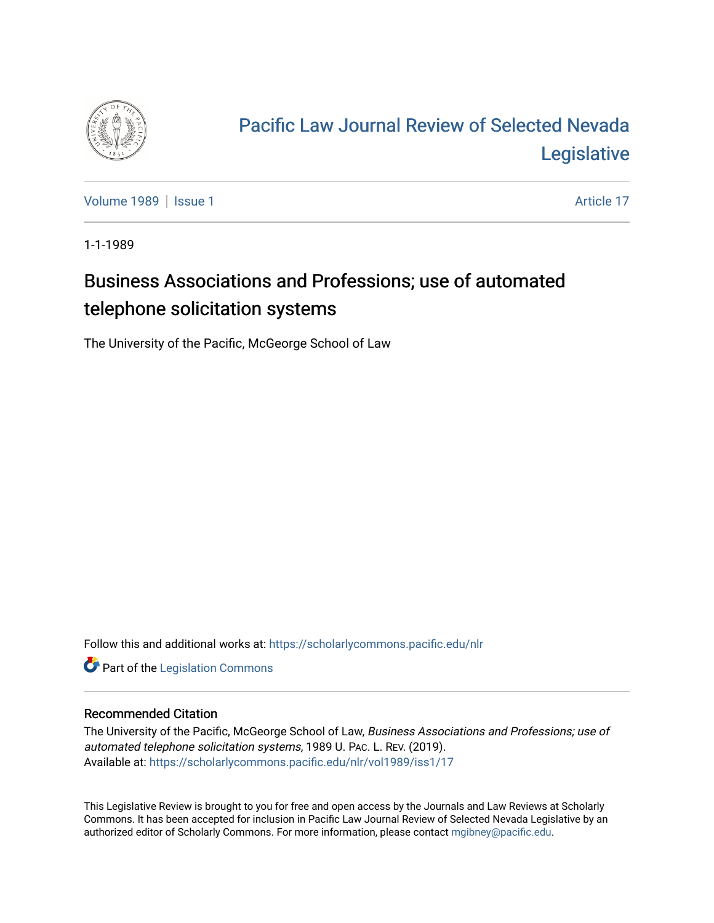

## [Pacific Law Journal Review of Selected Nevada](https://scholarlycommons.pacific.edu/nlr)  [Legislative](https://scholarlycommons.pacific.edu/nlr)

[Volume 1989](https://scholarlycommons.pacific.edu/nlr/vol1989) | [Issue 1](https://scholarlycommons.pacific.edu/nlr/vol1989/iss1) Article 17

1-1-1989

## Business Associations and Professions; use of automated telephone solicitation systems

The University of the Pacific, McGeorge School of Law

Follow this and additional works at: [https://scholarlycommons.pacific.edu/nlr](https://scholarlycommons.pacific.edu/nlr?utm_source=scholarlycommons.pacific.edu%2Fnlr%2Fvol1989%2Fiss1%2F17&utm_medium=PDF&utm_campaign=PDFCoverPages) 

**Part of the [Legislation Commons](http://network.bepress.com/hgg/discipline/859?utm_source=scholarlycommons.pacific.edu%2Fnlr%2Fvol1989%2Fiss1%2F17&utm_medium=PDF&utm_campaign=PDFCoverPages)** 

## Recommended Citation

The University of the Pacific, McGeorge School of Law, Business Associations and Professions; use of automated telephone solicitation systems, 1989 U. PAC. L. REV. (2019). Available at: [https://scholarlycommons.pacific.edu/nlr/vol1989/iss1/17](https://scholarlycommons.pacific.edu/nlr/vol1989/iss1/17?utm_source=scholarlycommons.pacific.edu%2Fnlr%2Fvol1989%2Fiss1%2F17&utm_medium=PDF&utm_campaign=PDFCoverPages)

This Legislative Review is brought to you for free and open access by the Journals and Law Reviews at Scholarly Commons. It has been accepted for inclusion in Pacific Law Journal Review of Selected Nevada Legislative by an authorized editor of Scholarly Commons. For more information, please contact [mgibney@pacific.edu](mailto:mgibney@pacific.edu).